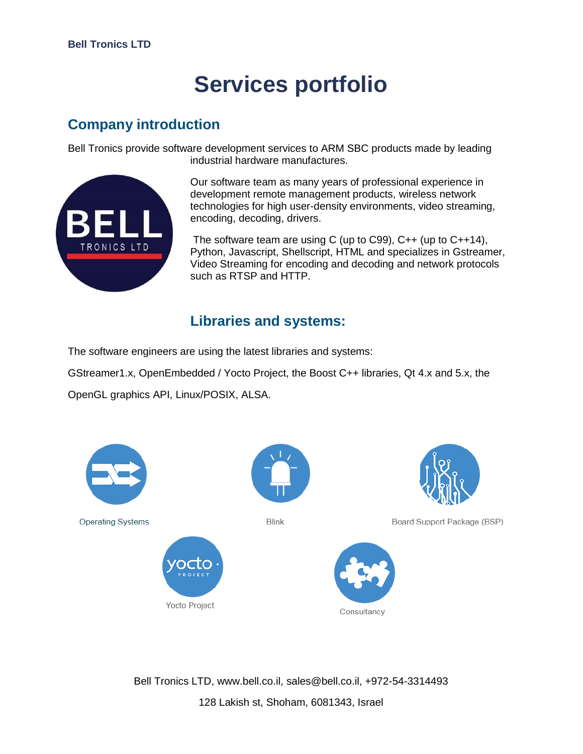# **Services portfolio**

## **Company introduction**

Bell Tronics provide software development services to ARM SBC products made by leading industrial hardware manufactures.



Our software team as many years of professional experience in development remote management products, wireless network technologies for high user-density environments, video streaming, encoding, decoding, drivers.

The software team are using C (up to C99), C++ (up to C++14), Python, Javascript, Shellscript, HTML and specializes in Gstreamer, Video Streaming for encoding and decoding and network protocols such as RTSP and HTTP.

### **Libraries and systems:**

The software engineers are using the latest libraries and systems:

GStreamer1.x, OpenEmbedded / Yocto Project, the Boost C++ libraries, Qt 4.x and 5.x, the

OpenGL graphics API, Linux/POSIX, ALSA.



Bell Tronics LTD, www.bell.co.il, sales@bell.co.il, +972-54-3314493 128 Lakish st, Shoham, 6081343, Israel